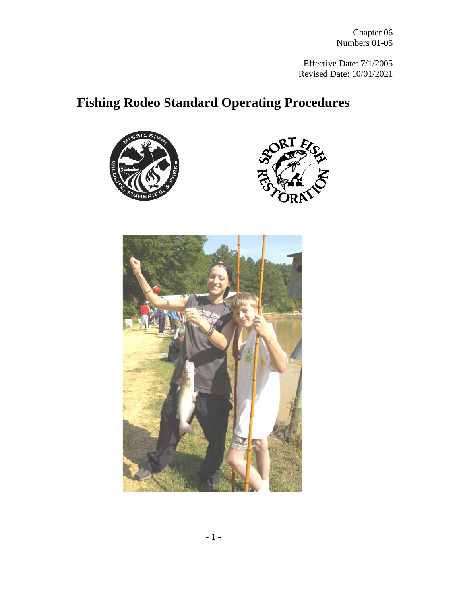Effective Date: 7/1/2005 Revised Date: 10/01/2021

# **Fishing Rodeo Standard Operating Procedures**





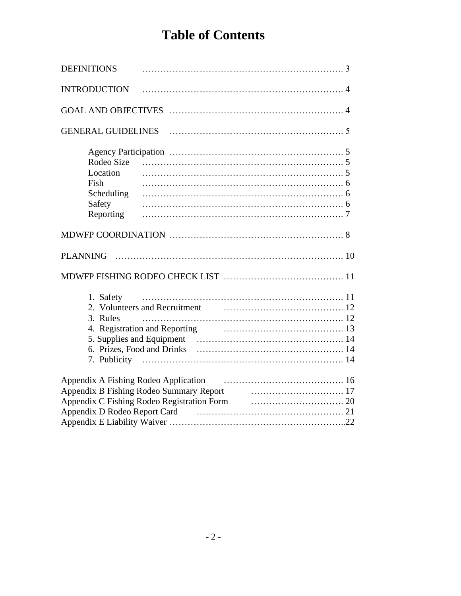# **Table of Contents**

| <b>DEFINITIONS</b> |                                                                                                          |  |
|--------------------|----------------------------------------------------------------------------------------------------------|--|
|                    |                                                                                                          |  |
|                    |                                                                                                          |  |
|                    |                                                                                                          |  |
|                    |                                                                                                          |  |
|                    |                                                                                                          |  |
| Location           |                                                                                                          |  |
| Fish               |                                                                                                          |  |
| Scheduling         |                                                                                                          |  |
| Safety             |                                                                                                          |  |
| Reporting          |                                                                                                          |  |
|                    |                                                                                                          |  |
|                    |                                                                                                          |  |
|                    |                                                                                                          |  |
| 1. Safety          |                                                                                                          |  |
|                    |                                                                                                          |  |
| 3. Rules           |                                                                                                          |  |
|                    |                                                                                                          |  |
|                    |                                                                                                          |  |
|                    |                                                                                                          |  |
|                    |                                                                                                          |  |
|                    |                                                                                                          |  |
|                    |                                                                                                          |  |
|                    | Appendix B Fishing Rodeo Summary Report <b>Constant Constant Appendix B Fishing Rodeo Summary Report</b> |  |
|                    | Appendix D Rodeo Report Card (2008) March 21                                                             |  |
|                    |                                                                                                          |  |
|                    |                                                                                                          |  |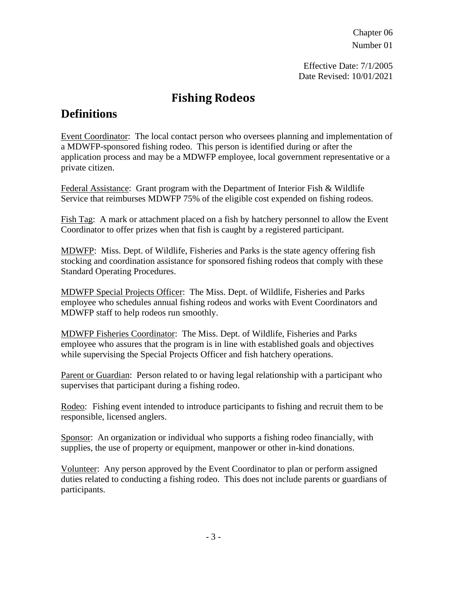Effective Date: 7/1/2005 Date Revised: 10/01/2021

#### **Fishing Rodeos**

#### **Definitions**

Event Coordinator: The local contact person who oversees planning and implementation of a MDWFP-sponsored fishing rodeo. This person is identified during or after the application process and may be a MDWFP employee, local government representative or a private citizen.

Federal Assistance: Grant program with the Department of Interior Fish & Wildlife Service that reimburses MDWFP 75% of the eligible cost expended on fishing rodeos.

Fish Tag: A mark or attachment placed on a fish by hatchery personnel to allow the Event Coordinator to offer prizes when that fish is caught by a registered participant.

MDWFP: Miss. Dept. of Wildlife, Fisheries and Parks is the state agency offering fish stocking and coordination assistance for sponsored fishing rodeos that comply with these Standard Operating Procedures.

MDWFP Special Projects Officer: The Miss. Dept. of Wildlife, Fisheries and Parks employee who schedules annual fishing rodeos and works with Event Coordinators and MDWFP staff to help rodeos run smoothly.

MDWFP Fisheries Coordinator: The Miss. Dept. of Wildlife, Fisheries and Parks employee who assures that the program is in line with established goals and objectives while supervising the Special Projects Officer and fish hatchery operations.

Parent or Guardian: Person related to or having legal relationship with a participant who supervises that participant during a fishing rodeo.

Rodeo: Fishing event intended to introduce participants to fishing and recruit them to be responsible, licensed anglers.

Sponsor: An organization or individual who supports a fishing rodeo financially, with supplies, the use of property or equipment, manpower or other in-kind donations.

Volunteer: Any person approved by the Event Coordinator to plan or perform assigned duties related to conducting a fishing rodeo. This does not include parents or guardians of participants.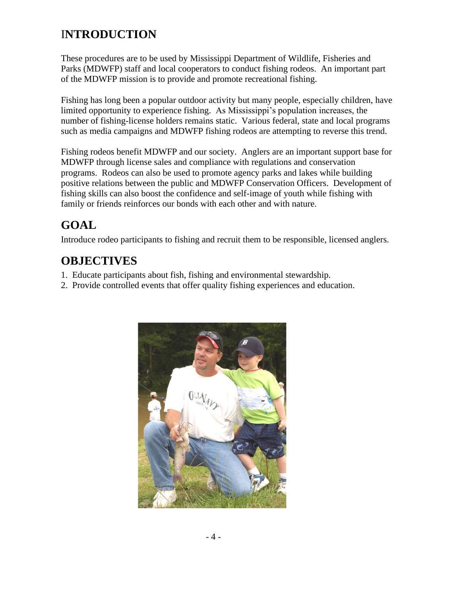## I**NTRODUCTION**

These procedures are to be used by Mississippi Department of Wildlife, Fisheries and Parks (MDWFP) staff and local cooperators to conduct fishing rodeos. An important part of the MDWFP mission is to provide and promote recreational fishing.

Fishing has long been a popular outdoor activity but many people, especially children, have limited opportunity to experience fishing. As Mississippi's population increases, the number of fishing-license holders remains static. Various federal, state and local programs such as media campaigns and MDWFP fishing rodeos are attempting to reverse this trend.

Fishing rodeos benefit MDWFP and our society. Anglers are an important support base for MDWFP through license sales and compliance with regulations and conservation programs. Rodeos can also be used to promote agency parks and lakes while building positive relations between the public and MDWFP Conservation Officers. Development of fishing skills can also boost the confidence and self-image of youth while fishing with family or friends reinforces our bonds with each other and with nature.

## **GOAL**

Introduce rodeo participants to fishing and recruit them to be responsible, licensed anglers.

## **OBJECTIVES**

- 1. Educate participants about fish, fishing and environmental stewardship.
- 2. Provide controlled events that offer quality fishing experiences and education.

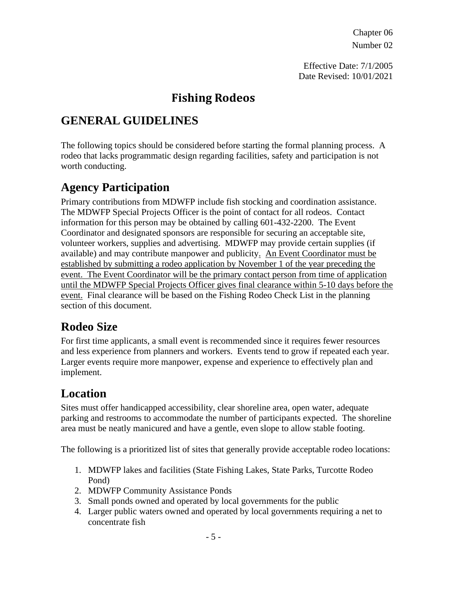Effective Date: 7/1/2005 Date Revised: 10/01/2021

#### **Fishing Rodeos**

#### **GENERAL GUIDELINES**

The following topics should be considered before starting the formal planning process. A rodeo that lacks programmatic design regarding facilities, safety and participation is not worth conducting.

#### **Agency Participation**

Primary contributions from MDWFP include fish stocking and coordination assistance. The MDWFP Special Projects Officer is the point of contact for all rodeos. Contact information for this person may be obtained by calling 601-432-2200. The Event Coordinator and designated sponsors are responsible for securing an acceptable site, volunteer workers, supplies and advertising. MDWFP may provide certain supplies (if available) and may contribute manpower and publicity. An Event Coordinator must be established by submitting a rodeo application by November 1 of the year preceding the event. The Event Coordinator will be the primary contact person from time of application until the MDWFP Special Projects Officer gives final clearance within 5-10 days before the event. Final clearance will be based on the Fishing Rodeo Check List in the planning section of this document.

#### **Rodeo Size**

For first time applicants, a small event is recommended since it requires fewer resources and less experience from planners and workers. Events tend to grow if repeated each year. Larger events require more manpower, expense and experience to effectively plan and implement.

#### **Location**

Sites must offer handicapped accessibility, clear shoreline area, open water, adequate parking and restrooms to accommodate the number of participants expected. The shoreline area must be neatly manicured and have a gentle, even slope to allow stable footing.

The following is a prioritized list of sites that generally provide acceptable rodeo locations:

- 1. MDWFP lakes and facilities (State Fishing Lakes, State Parks, Turcotte Rodeo Pond)
- 2. MDWFP Community Assistance Ponds
- 3. Small ponds owned and operated by local governments for the public
- 4. Larger public waters owned and operated by local governments requiring a net to concentrate fish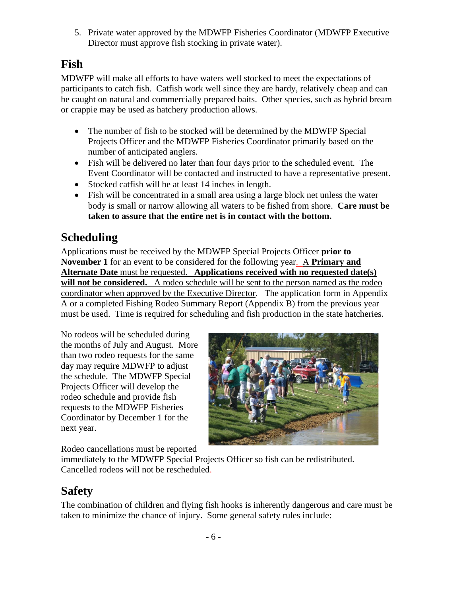5. Private water approved by the MDWFP Fisheries Coordinator (MDWFP Executive Director must approve fish stocking in private water).

#### **Fish**

MDWFP will make all efforts to have waters well stocked to meet the expectations of participants to catch fish. Catfish work well since they are hardy, relatively cheap and can be caught on natural and commercially prepared baits. Other species, such as hybrid bream or crappie may be used as hatchery production allows.

- The number of fish to be stocked will be determined by the MDWFP Special Projects Officer and the MDWFP Fisheries Coordinator primarily based on the number of anticipated anglers.
- Fish will be delivered no later than four days prior to the scheduled event. The Event Coordinator will be contacted and instructed to have a representative present.
- Stocked catfish will be at least 14 inches in length.
- Fish will be concentrated in a small area using a large block net unless the water body is small or narrow allowing all waters to be fished from shore. **Care must be taken to assure that the entire net is in contact with the bottom.**

#### **Scheduling**

Applications must be received by the MDWFP Special Projects Officer **prior to November 1** for an event to be considered for the following year. A **Primary and Alternate Date** must be requested. **Applications received with no requested date(s)**  will not be considered. A rodeo schedule will be sent to the person named as the rodeo coordinator when approved by the Executive Director. The application form in Appendix A or a completed Fishing Rodeo Summary Report (Appendix B) from the previous year must be used. Time is required for scheduling and fish production in the state hatcheries.

No rodeos will be scheduled during the months of July and August. More than two rodeo requests for the same day may require MDWFP to adjust the schedule. The MDWFP Special Projects Officer will develop the rodeo schedule and provide fish requests to the MDWFP Fisheries Coordinator by December 1 for the next year.



Rodeo cancellations must be reported

immediately to the MDWFP Special Projects Officer so fish can be redistributed. Cancelled rodeos will not be rescheduled.

#### **Safety**

The combination of children and flying fish hooks is inherently dangerous and care must be taken to minimize the chance of injury. Some general safety rules include: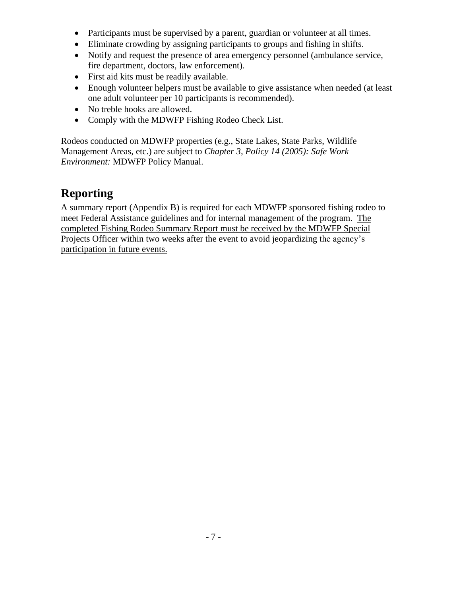- Participants must be supervised by a parent, guardian or volunteer at all times.
- Eliminate crowding by assigning participants to groups and fishing in shifts.
- Notify and request the presence of area emergency personnel (ambulance service, fire department, doctors, law enforcement).
- First aid kits must be readily available.
- Enough volunteer helpers must be available to give assistance when needed (at least one adult volunteer per 10 participants is recommended).
- No treble hooks are allowed.
- Comply with the MDWFP Fishing Rodeo Check List.

Rodeos conducted on MDWFP properties (e.g., State Lakes, State Parks, Wildlife Management Areas, etc.) are subject to *Chapter 3, Policy 14 (2005): Safe Work Environment:* MDWFP Policy Manual.

#### **Reporting**

A summary report (Appendix B) is required for each MDWFP sponsored fishing rodeo to meet Federal Assistance guidelines and for internal management of the program. The completed Fishing Rodeo Summary Report must be received by the MDWFP Special Projects Officer within two weeks after the event to avoid jeopardizing the agency's participation in future events.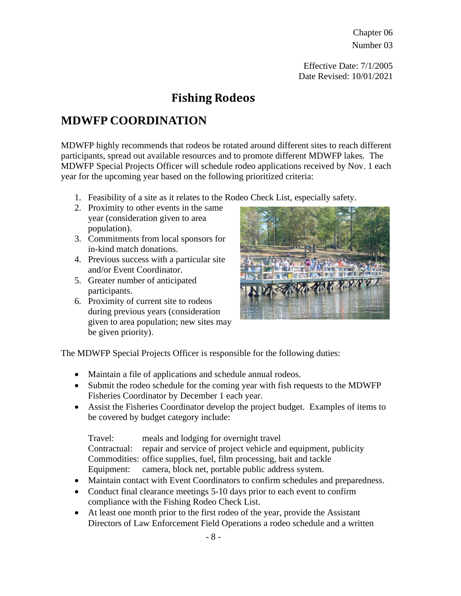Effective Date: 7/1/2005 Date Revised: 10/01/2021

#### **Fishing Rodeos**

#### **MDWFP COORDINATION**

MDWFP highly recommends that rodeos be rotated around different sites to reach different participants, spread out available resources and to promote different MDWFP lakes. The MDWFP Special Projects Officer will schedule rodeo applications received by Nov. 1 each year for the upcoming year based on the following prioritized criteria:

- 1. Feasibility of a site as it relates to the Rodeo Check List, especially safety.
- 2. Proximity to other events in the same year (consideration given to area population).
- 3. Commitments from local sponsors for in-kind match donations.
- 4. Previous success with a particular site and/or Event Coordinator.
- 5. Greater number of anticipated participants.
- 6. Proximity of current site to rodeos during previous years (consideration given to area population; new sites may be given priority).



The MDWFP Special Projects Officer is responsible for the following duties:

- Maintain a file of applications and schedule annual rodeos.
- Submit the rodeo schedule for the coming year with fish requests to the MDWFP Fisheries Coordinator by December 1 each year.
- Assist the Fisheries Coordinator develop the project budget. Examples of items to be covered by budget category include:

Travel: meals and lodging for overnight travel

Contractual: repair and service of project vehicle and equipment, publicity Commodities: office supplies, fuel, film processing, bait and tackle Equipment: camera, block net, portable public address system.

- Maintain contact with Event Coordinators to confirm schedules and preparedness.
- Conduct final clearance meetings 5-10 days prior to each event to confirm compliance with the Fishing Rodeo Check List.
- At least one month prior to the first rodeo of the year, provide the Assistant Directors of Law Enforcement Field Operations a rodeo schedule and a written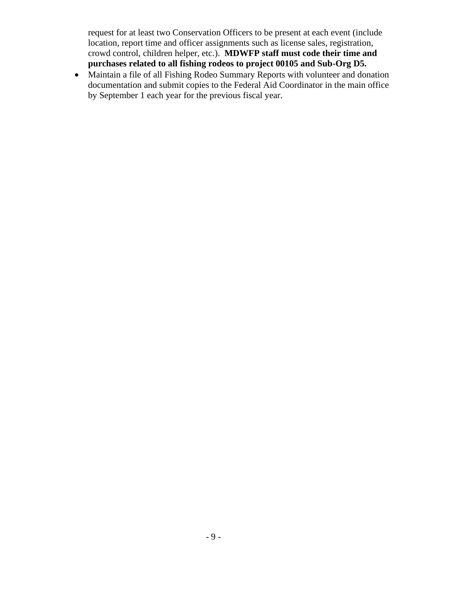request for at least two Conservation Officers to be present at each event (include location, report time and officer assignments such as license sales, registration, crowd control, children helper, etc.). **MDWFP staff must code their time and purchases related to all fishing rodeos to project 00105 and Sub-Org D5.**

• Maintain a file of all Fishing Rodeo Summary Reports with volunteer and donation documentation and submit copies to the Federal Aid Coordinator in the main office by September 1 each year for the previous fiscal year.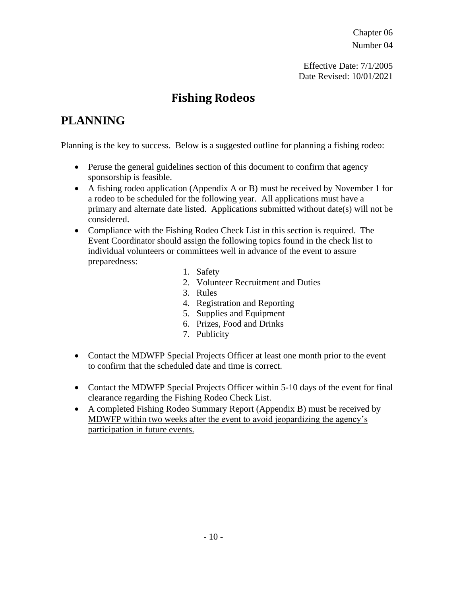Effective Date: 7/1/2005 Date Revised: 10/01/2021

#### **Fishing Rodeos**

## **PLANNING**

Planning is the key to success. Below is a suggested outline for planning a fishing rodeo:

- Peruse the general guidelines section of this document to confirm that agency sponsorship is feasible.
- A fishing rodeo application (Appendix A or B) must be received by November 1 for a rodeo to be scheduled for the following year. All applications must have a primary and alternate date listed. Applications submitted without date(s) will not be considered.
- Compliance with the Fishing Rodeo Check List in this section is required. The Event Coordinator should assign the following topics found in the check list to individual volunteers or committees well in advance of the event to assure preparedness:
	- 1. Safety
	- 2. Volunteer Recruitment and Duties
	- 3. Rules
	- 4. Registration and Reporting
	- 5. Supplies and Equipment
	- 6. Prizes, Food and Drinks
	- 7. Publicity
- Contact the MDWFP Special Projects Officer at least one month prior to the event to confirm that the scheduled date and time is correct.
- Contact the MDWFP Special Projects Officer within 5-10 days of the event for final clearance regarding the Fishing Rodeo Check List.
- A completed Fishing Rodeo Summary Report (Appendix B) must be received by MDWFP within two weeks after the event to avoid jeopardizing the agency's participation in future events.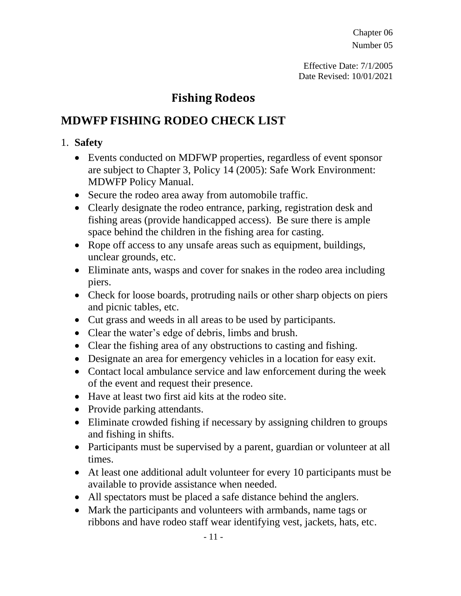Effective Date: 7/1/2005 Date Revised: 10/01/2021

#### **Fishing Rodeos**

## **MDWFP FISHING RODEO CHECK LIST**

#### 1. **Safety**

- Events conducted on MDFWP properties, regardless of event sponsor are subject to Chapter 3, Policy 14 (2005): Safe Work Environment: MDWFP Policy Manual.
- Secure the rodeo area away from automobile traffic.
- Clearly designate the rodeo entrance, parking, registration desk and fishing areas (provide handicapped access). Be sure there is ample space behind the children in the fishing area for casting.
- Rope off access to any unsafe areas such as equipment, buildings, unclear grounds, etc.
- Eliminate ants, wasps and cover for snakes in the rodeo area including piers.
- Check for loose boards, protruding nails or other sharp objects on piers and picnic tables, etc.
- Cut grass and weeds in all areas to be used by participants.
- Clear the water's edge of debris, limbs and brush.
- Clear the fishing area of any obstructions to casting and fishing.
- Designate an area for emergency vehicles in a location for easy exit.
- Contact local ambulance service and law enforcement during the week of the event and request their presence.
- Have at least two first aid kits at the rodeo site.
- Provide parking attendants.
- Eliminate crowded fishing if necessary by assigning children to groups and fishing in shifts.
- Participants must be supervised by a parent, guardian or volunteer at all times.
- At least one additional adult volunteer for every 10 participants must be available to provide assistance when needed.
- All spectators must be placed a safe distance behind the anglers.
- Mark the participants and volunteers with armbands, name tags or ribbons and have rodeo staff wear identifying vest, jackets, hats, etc.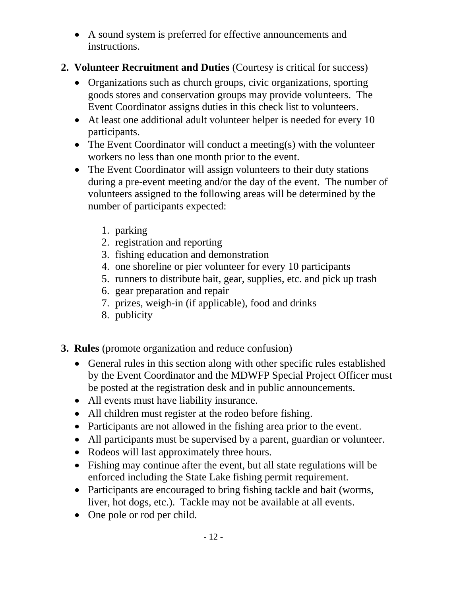- A sound system is preferred for effective announcements and instructions.
- **2. Volunteer Recruitment and Duties** (Courtesy is critical for success)
	- Organizations such as church groups, civic organizations, sporting goods stores and conservation groups may provide volunteers. The Event Coordinator assigns duties in this check list to volunteers.
	- At least one additional adult volunteer helper is needed for every 10 participants.
	- The Event Coordinator will conduct a meeting(s) with the volunteer workers no less than one month prior to the event.
	- The Event Coordinator will assign volunteers to their duty stations during a pre-event meeting and/or the day of the event. The number of volunteers assigned to the following areas will be determined by the number of participants expected:
		- 1. parking
		- 2. registration and reporting
		- 3. fishing education and demonstration
		- 4. one shoreline or pier volunteer for every 10 participants
		- 5. runners to distribute bait, gear, supplies, etc. and pick up trash
		- 6. gear preparation and repair
		- 7. prizes, weigh-in (if applicable), food and drinks
		- 8. publicity
- **3. Rules** (promote organization and reduce confusion)
	- General rules in this section along with other specific rules established by the Event Coordinator and the MDWFP Special Project Officer must be posted at the registration desk and in public announcements.
	- All events must have liability insurance.
	- All children must register at the rodeo before fishing.
	- Participants are not allowed in the fishing area prior to the event.
	- All participants must be supervised by a parent, guardian or volunteer.
	- Rodeos will last approximately three hours.
	- Fishing may continue after the event, but all state regulations will be enforced including the State Lake fishing permit requirement.
	- Participants are encouraged to bring fishing tackle and bait (worms, liver, hot dogs, etc.). Tackle may not be available at all events.
	- One pole or rod per child.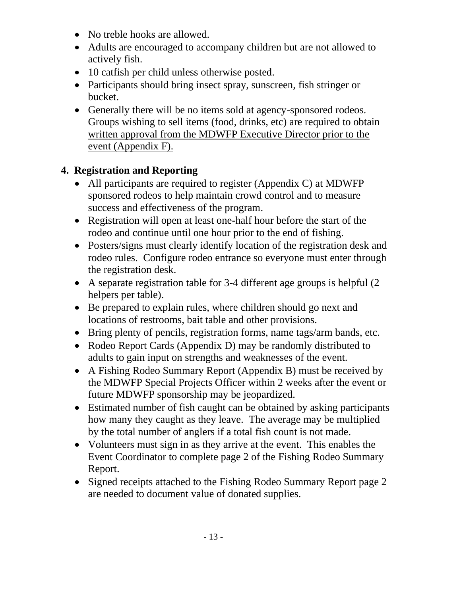- No treble hooks are allowed.
- Adults are encouraged to accompany children but are not allowed to actively fish.
- 10 catfish per child unless otherwise posted.
- Participants should bring insect spray, sunscreen, fish stringer or bucket.
- Generally there will be no items sold at agency-sponsored rodeos. Groups wishing to sell items (food, drinks, etc) are required to obtain written approval from the MDWFP Executive Director prior to the event (Appendix F).

#### **4. Registration and Reporting**

- All participants are required to register (Appendix C) at MDWFP sponsored rodeos to help maintain crowd control and to measure success and effectiveness of the program.
- Registration will open at least one-half hour before the start of the rodeo and continue until one hour prior to the end of fishing.
- Posters/signs must clearly identify location of the registration desk and rodeo rules. Configure rodeo entrance so everyone must enter through the registration desk.
- A separate registration table for 3-4 different age groups is helpful (2 helpers per table).
- Be prepared to explain rules, where children should go next and locations of restrooms, bait table and other provisions.
- Bring plenty of pencils, registration forms, name tags/arm bands, etc.
- Rodeo Report Cards (Appendix D) may be randomly distributed to adults to gain input on strengths and weaknesses of the event.
- A Fishing Rodeo Summary Report (Appendix B) must be received by the MDWFP Special Projects Officer within 2 weeks after the event or future MDWFP sponsorship may be jeopardized.
- Estimated number of fish caught can be obtained by asking participants how many they caught as they leave. The average may be multiplied by the total number of anglers if a total fish count is not made.
- Volunteers must sign in as they arrive at the event. This enables the Event Coordinator to complete page 2 of the Fishing Rodeo Summary Report.
- Signed receipts attached to the Fishing Rodeo Summary Report page 2 are needed to document value of donated supplies.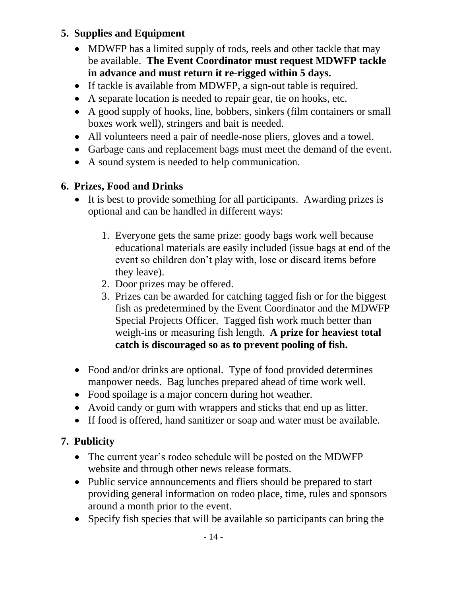#### **5. Supplies and Equipment**

- MDWFP has a limited supply of rods, reels and other tackle that may be available. **The Event Coordinator must request MDWFP tackle in advance and must return it re-rigged within 5 days.**
- If tackle is available from MDWFP, a sign-out table is required.
- A separate location is needed to repair gear, tie on hooks, etc.
- A good supply of hooks, line, bobbers, sinkers (film containers or small boxes work well), stringers and bait is needed.
- All volunteers need a pair of needle-nose pliers, gloves and a towel.
- Garbage cans and replacement bags must meet the demand of the event.
- A sound system is needed to help communication.

#### **6. Prizes, Food and Drinks**

- It is best to provide something for all participants. Awarding prizes is optional and can be handled in different ways:
	- 1. Everyone gets the same prize: goody bags work well because educational materials are easily included (issue bags at end of the event so children don't play with, lose or discard items before they leave).
	- 2. Door prizes may be offered.
	- 3. Prizes can be awarded for catching tagged fish or for the biggest fish as predetermined by the Event Coordinator and the MDWFP Special Projects Officer. Tagged fish work much better than weigh-ins or measuring fish length. **A prize for heaviest total catch is discouraged so as to prevent pooling of fish.**
- Food and/or drinks are optional. Type of food provided determines manpower needs. Bag lunches prepared ahead of time work well.
- Food spoilage is a major concern during hot weather.
- Avoid candy or gum with wrappers and sticks that end up as litter.
- If food is offered, hand sanitizer or soap and water must be available.

#### **7. Publicity**

- The current year's rodeo schedule will be posted on the MDWFP website and through other news release formats.
- Public service announcements and fliers should be prepared to start providing general information on rodeo place, time, rules and sponsors around a month prior to the event.
- Specify fish species that will be available so participants can bring the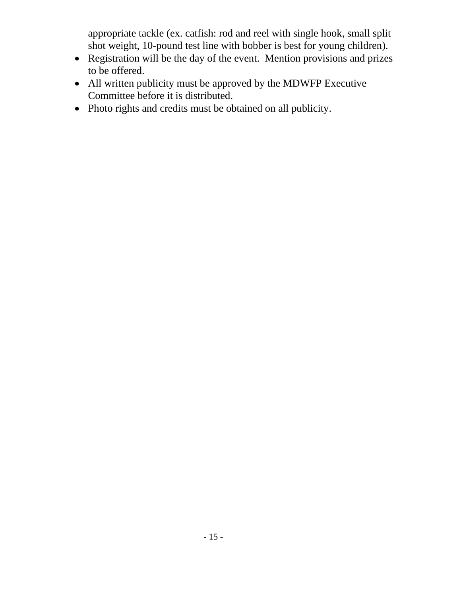appropriate tackle (ex. catfish: rod and reel with single hook, small split shot weight, 10-pound test line with bobber is best for young children).

- Registration will be the day of the event. Mention provisions and prizes to be offered.
- All written publicity must be approved by the MDWFP Executive Committee before it is distributed.
- Photo rights and credits must be obtained on all publicity.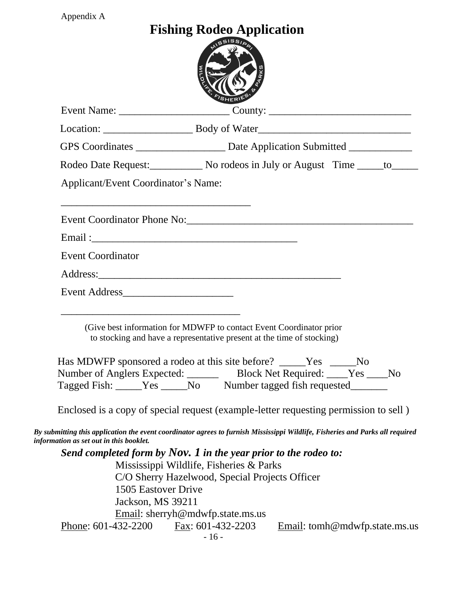| Appendix A                                                                                                                                                                                                                                                            |                                  |                               |  |
|-----------------------------------------------------------------------------------------------------------------------------------------------------------------------------------------------------------------------------------------------------------------------|----------------------------------|-------------------------------|--|
|                                                                                                                                                                                                                                                                       | <b>Fishing Rodeo Application</b> |                               |  |
|                                                                                                                                                                                                                                                                       |                                  |                               |  |
|                                                                                                                                                                                                                                                                       |                                  |                               |  |
| GPS Coordinates _______________________ Date Application Submitted _____________                                                                                                                                                                                      |                                  |                               |  |
| Rodeo Date Request: No rodeos in July or August Time ______ to______                                                                                                                                                                                                  |                                  |                               |  |
| <b>Applicant/Event Coordinator's Name:</b>                                                                                                                                                                                                                            |                                  |                               |  |
|                                                                                                                                                                                                                                                                       |                                  |                               |  |
|                                                                                                                                                                                                                                                                       |                                  |                               |  |
| <b>Event Coordinator</b>                                                                                                                                                                                                                                              |                                  |                               |  |
|                                                                                                                                                                                                                                                                       |                                  |                               |  |
|                                                                                                                                                                                                                                                                       |                                  |                               |  |
| <u> 1989 - Johann John Harry, mars and de British and de British and de British and de British and de British an</u><br>(Give best information for MDWFP to contact Event Coordinator prior<br>to stocking and have a representative present at the time of stocking) |                                  |                               |  |
| Has MDWFP sponsored a rodeo at this site before? _____Yes _____No                                                                                                                                                                                                     |                                  |                               |  |
| Number of Anglers Expected: Block Net Required: ____Yes ____No                                                                                                                                                                                                        |                                  |                               |  |
| Tagged Fish: _____Yes _____No Number tagged fish requested________                                                                                                                                                                                                    |                                  |                               |  |
| Enclosed is a copy of special request (example-letter requesting permission to sell)                                                                                                                                                                                  |                                  |                               |  |
| By submitting this application the event coordinator agrees to furnish Mississippi Wildlife, Fisheries and Parks all required<br>information as set out in this booklet.                                                                                              |                                  |                               |  |
| Send completed form by Nov. 1 in the year prior to the rodeo to:                                                                                                                                                                                                      |                                  |                               |  |
| Mississippi Wildlife, Fisheries & Parks                                                                                                                                                                                                                               |                                  |                               |  |
| C/O Sherry Hazelwood, Special Projects Officer<br>1505 Eastover Drive                                                                                                                                                                                                 |                                  |                               |  |
| Jackson, MS 39211                                                                                                                                                                                                                                                     |                                  |                               |  |
| Email: sherryh@mdwfp.state.ms.us                                                                                                                                                                                                                                      |                                  |                               |  |
| Phone: 601-432-2200 Fax: 601-432-2203                                                                                                                                                                                                                                 | $-16-$                           | Email: tomh@mdwfp.state.ms.us |  |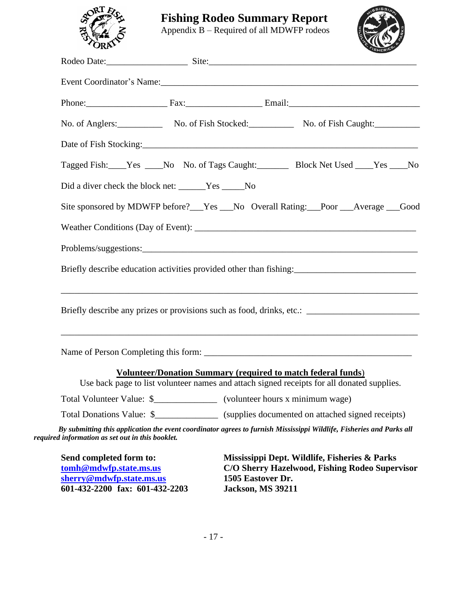

**Fishing Rodeo Summary Report**

Appendix B – Required of all MDWFP rodeos



| Rodeo Date: Site: Site: Site: Site: Site: Site: Site: Site: Site: Site: Site: Site: Site: Site: Site: Site: Site: Site: Site: Site: Site: Site: Site: Site: Site: Site: Site: Site: Site: Site: Site: Site: Site: Site: Site:  |                                                                                                                                                                   |                                               |                                                                                                 |  |
|--------------------------------------------------------------------------------------------------------------------------------------------------------------------------------------------------------------------------------|-------------------------------------------------------------------------------------------------------------------------------------------------------------------|-----------------------------------------------|-------------------------------------------------------------------------------------------------|--|
|                                                                                                                                                                                                                                |                                                                                                                                                                   |                                               |                                                                                                 |  |
|                                                                                                                                                                                                                                |                                                                                                                                                                   |                                               |                                                                                                 |  |
| No. of Anglers: No. of Fish Stocked: No. of Fish Caught: No. of Fish Caught:                                                                                                                                                   |                                                                                                                                                                   |                                               |                                                                                                 |  |
| Date of Fish Stocking: 1986 and 2008 and 2008 and 2008 and 2008 and 2008 and 2008 and 2008 and 2008 and 2008 and 2008 and 2008 and 2008 and 2008 and 2008 and 2008 and 2008 and 2008 and 2008 and 2008 and 2008 and 2008 and 2 |                                                                                                                                                                   |                                               |                                                                                                 |  |
| Tagged Fish: Yes ____No No. of Tags Caught: Block Net Used ____Yes ___No                                                                                                                                                       |                                                                                                                                                                   |                                               |                                                                                                 |  |
| Did a diver check the block net: ______Yes _____No                                                                                                                                                                             |                                                                                                                                                                   |                                               |                                                                                                 |  |
| Site sponsored by MDWFP before?__Yes __No Overall Rating:__Poor __Average __Good                                                                                                                                               |                                                                                                                                                                   |                                               |                                                                                                 |  |
|                                                                                                                                                                                                                                |                                                                                                                                                                   |                                               |                                                                                                 |  |
| Problems/suggestions:                                                                                                                                                                                                          |                                                                                                                                                                   |                                               |                                                                                                 |  |
| Briefly describe education activities provided other than fishing:<br><u>Example 2014</u>                                                                                                                                      |                                                                                                                                                                   |                                               |                                                                                                 |  |
| Briefly describe any prizes or provisions such as food, drinks, etc.: ______________________________                                                                                                                           | ,我们也不能在这里的时候,我们也不能在这里的时候,我们也不能会在这里的时候,我们也不能会在这里的时候,我们也不能会在这里的时候,我们也不能会在这里的时候,我们也不                                                                                 |                                               |                                                                                                 |  |
|                                                                                                                                                                                                                                |                                                                                                                                                                   |                                               |                                                                                                 |  |
|                                                                                                                                                                                                                                | <b>Volunteer/Donation Summary (required to match federal funds)</b><br>Use back page to list volunteer names and attach signed receipts for all donated supplies. |                                               |                                                                                                 |  |
| Total Volunteer Value: \$                                                                                                                                                                                                      |                                                                                                                                                                   | (volunteer hours x minimum wage)              |                                                                                                 |  |
| Total Donations Value: \$_________________ (supplies documented on attached signed receipts)                                                                                                                                   |                                                                                                                                                                   |                                               |                                                                                                 |  |
| By submitting this application the event coordinator agrees to furnish Mississippi Wildlife, Fisheries and Parks all<br>required information as set out in this booklet.                                                       |                                                                                                                                                                   |                                               |                                                                                                 |  |
| Send completed form to:<br>tomh@mdwfp.state.ms.us<br>sherry@mdwfp.state.ms.us<br>601-432-2200 fax: 601-432-2203                                                                                                                |                                                                                                                                                                   | 1505 Eastover Dr.<br><b>Jackson, MS 39211</b> | Mississippi Dept. Wildlife, Fisheries & Parks<br>C/O Sherry Hazelwood, Fishing Rodeo Supervisor |  |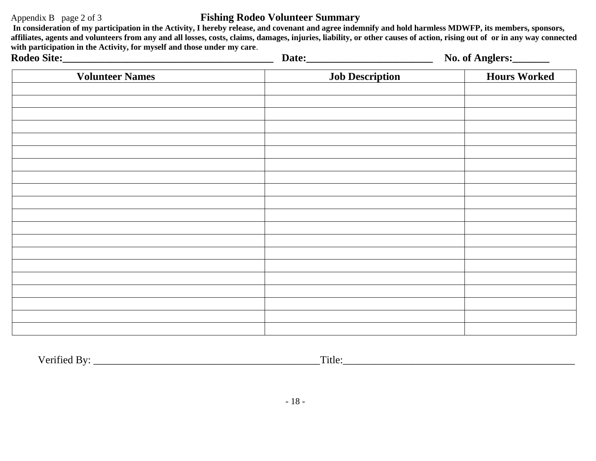#### Appendix B page 2 of 3 **Fishing Rodeo Volunteer Summary**

**In consideration of my participation in the Activity, I hereby release, and covenant and agree indemnify and hold harmless MDWFP, its members, sponsors, affiliates, agents and volunteers from any and all losses, costs, claims, damages, injuries, liability, or other causes of action, rising out of or in any way connected with participation in the Activity, for myself and those under my care**.

| $\cdots$ . The cool contract the cool collection of $\mathcal{L}$ , and $\mathcal{L}$ and $\mathcal{L}$ and $\mathcal{L}$ and $\mathcal{L}$<br>Rodeo Site: |                        | No. of Anglers:     |
|------------------------------------------------------------------------------------------------------------------------------------------------------------|------------------------|---------------------|
| <b>Volunteer Names</b>                                                                                                                                     | <b>Job Description</b> | <b>Hours Worked</b> |
|                                                                                                                                                            |                        |                     |
|                                                                                                                                                            |                        |                     |
|                                                                                                                                                            |                        |                     |
|                                                                                                                                                            |                        |                     |
|                                                                                                                                                            |                        |                     |
|                                                                                                                                                            |                        |                     |
|                                                                                                                                                            |                        |                     |
|                                                                                                                                                            |                        |                     |
|                                                                                                                                                            |                        |                     |
|                                                                                                                                                            |                        |                     |
|                                                                                                                                                            |                        |                     |
|                                                                                                                                                            |                        |                     |
|                                                                                                                                                            |                        |                     |
|                                                                                                                                                            |                        |                     |

Verified By: \_\_\_\_\_\_\_\_\_\_\_\_\_\_\_\_\_\_\_\_\_\_\_\_\_\_\_\_\_\_\_\_\_\_\_\_\_\_\_\_\_\_\_Title:\_\_\_\_\_\_\_\_\_\_\_\_\_\_\_\_\_\_\_\_\_\_\_\_\_\_\_\_\_\_\_\_\_\_\_\_\_\_\_\_\_\_\_\_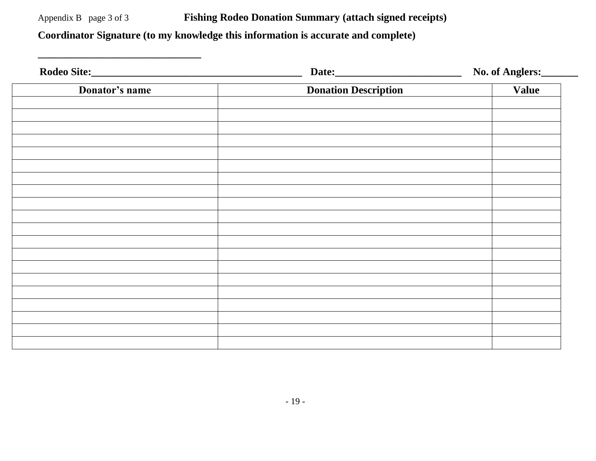Appendix B page 3 of 3 **Fishing Rodeo Donation Summary (attach signed receipts) Coordinator Signature (to my knowledge this information is accurate and complete)** 

**\_\_\_\_\_\_\_\_\_\_\_\_\_\_\_\_\_\_\_\_\_\_\_\_\_\_\_\_\_\_\_**

|                |                             | No. of Anglers: |
|----------------|-----------------------------|-----------------|
| Donator's name | <b>Donation Description</b> | Value           |
|                |                             |                 |
|                |                             |                 |
|                |                             |                 |
|                |                             |                 |
|                |                             |                 |
|                |                             |                 |
|                |                             |                 |
|                |                             |                 |
|                |                             |                 |
|                |                             |                 |
|                |                             |                 |
|                |                             |                 |
|                |                             |                 |
|                |                             |                 |
|                |                             |                 |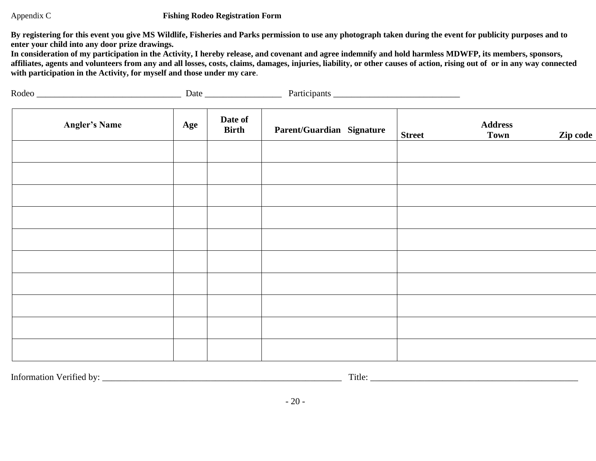#### Appendix C **Fishing Rodeo Registration Form**

**By registering for this event you give MS Wildlife, Fisheries and Parks permission to use any photograph taken during the event for publicity purposes and to enter your child into any door prize drawings.**

**In consideration of my participation in the Activity, I hereby release, and covenant and agree indemnify and hold harmless MDWFP, its members, sponsors, affiliates, agents and volunteers from any and all losses, costs, claims, damages, injuries, liability, or other causes of action, rising out of or in any way connected with participation in the Activity, for myself and those under my care**.

| Rodeo |              |
|-------|--------------|
| Date  | Participants |
|       |              |

| <b>Angler's Name</b> | Age | Date of<br><b>Birth</b> | Parent/Guardian Signature | <b>Street</b> | <b>Address</b><br><b>Town</b> | Zip code |
|----------------------|-----|-------------------------|---------------------------|---------------|-------------------------------|----------|
|                      |     |                         |                           |               |                               |          |
|                      |     |                         |                           |               |                               |          |
|                      |     |                         |                           |               |                               |          |
|                      |     |                         |                           |               |                               |          |
|                      |     |                         |                           |               |                               |          |
|                      |     |                         |                           |               |                               |          |
|                      |     |                         |                           |               |                               |          |
|                      |     |                         |                           |               |                               |          |
|                      |     |                         |                           |               |                               |          |
|                      |     |                         |                           |               |                               |          |

Information Verified by: \_\_\_\_\_\_\_\_\_\_\_\_\_\_\_\_\_\_\_\_\_\_\_\_\_\_\_\_\_\_\_\_\_\_\_\_\_\_\_\_\_\_\_\_\_\_\_\_\_\_\_\_\_ Title: \_\_\_\_\_\_\_\_\_\_\_\_\_\_\_\_\_\_\_\_\_\_\_\_\_\_\_\_\_\_\_\_\_\_\_\_\_\_\_\_\_\_\_\_\_\_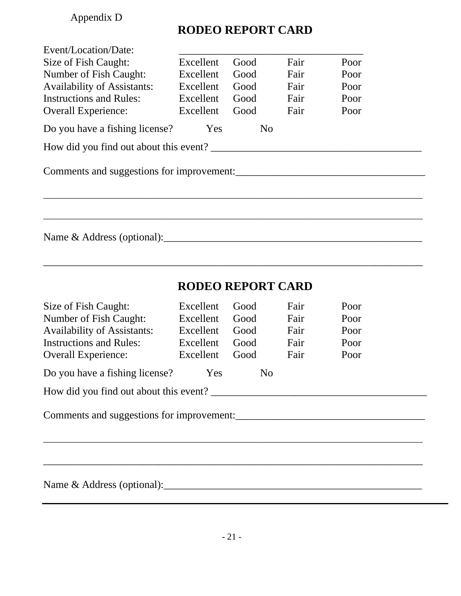## Appendix D

# **RODEO REPORT CARD**

| Event/Location/Date:               |           |                          |      |      |  |
|------------------------------------|-----------|--------------------------|------|------|--|
| Size of Fish Caught:               | Excellent | Good                     | Fair | Poor |  |
| Number of Fish Caught:             | Excellent | Good                     | Fair | Poor |  |
| <b>Availability of Assistants:</b> | Excellent | Good                     | Fair | Poor |  |
| <b>Instructions and Rules:</b>     | Excellent | Good                     | Fair | Poor |  |
| <b>Overall Experience:</b>         | Excellent | Good                     | Fair | Poor |  |
| Do you have a fishing license?     | Yes       | N <sub>o</sub>           |      |      |  |
|                                    |           |                          |      |      |  |
|                                    |           |                          |      |      |  |
|                                    |           |                          |      |      |  |
|                                    |           |                          |      |      |  |
|                                    |           | <b>RODEO REPORT CARD</b> |      |      |  |
| Size of Fish Caught:               | Excellent | Good                     | Fair | Poor |  |
| Number of Fish Caught:             | Excellent | Good                     | Fair | Poor |  |
| <b>Availability of Assistants:</b> | Excellent | Good                     | Fair | Poor |  |
| <b>Instructions and Rules:</b>     | Excellent | Good                     | Fair | Poor |  |
| <b>Overall Experience:</b>         | Excellent | Good                     | Fair | Poor |  |
| Do you have a fishing license?     | Yes       | N <sub>o</sub>           |      |      |  |
|                                    |           |                          |      |      |  |
|                                    |           |                          |      |      |  |
|                                    |           |                          |      |      |  |
|                                    |           |                          |      |      |  |
|                                    |           |                          |      |      |  |
|                                    |           |                          |      |      |  |
|                                    |           |                          |      |      |  |